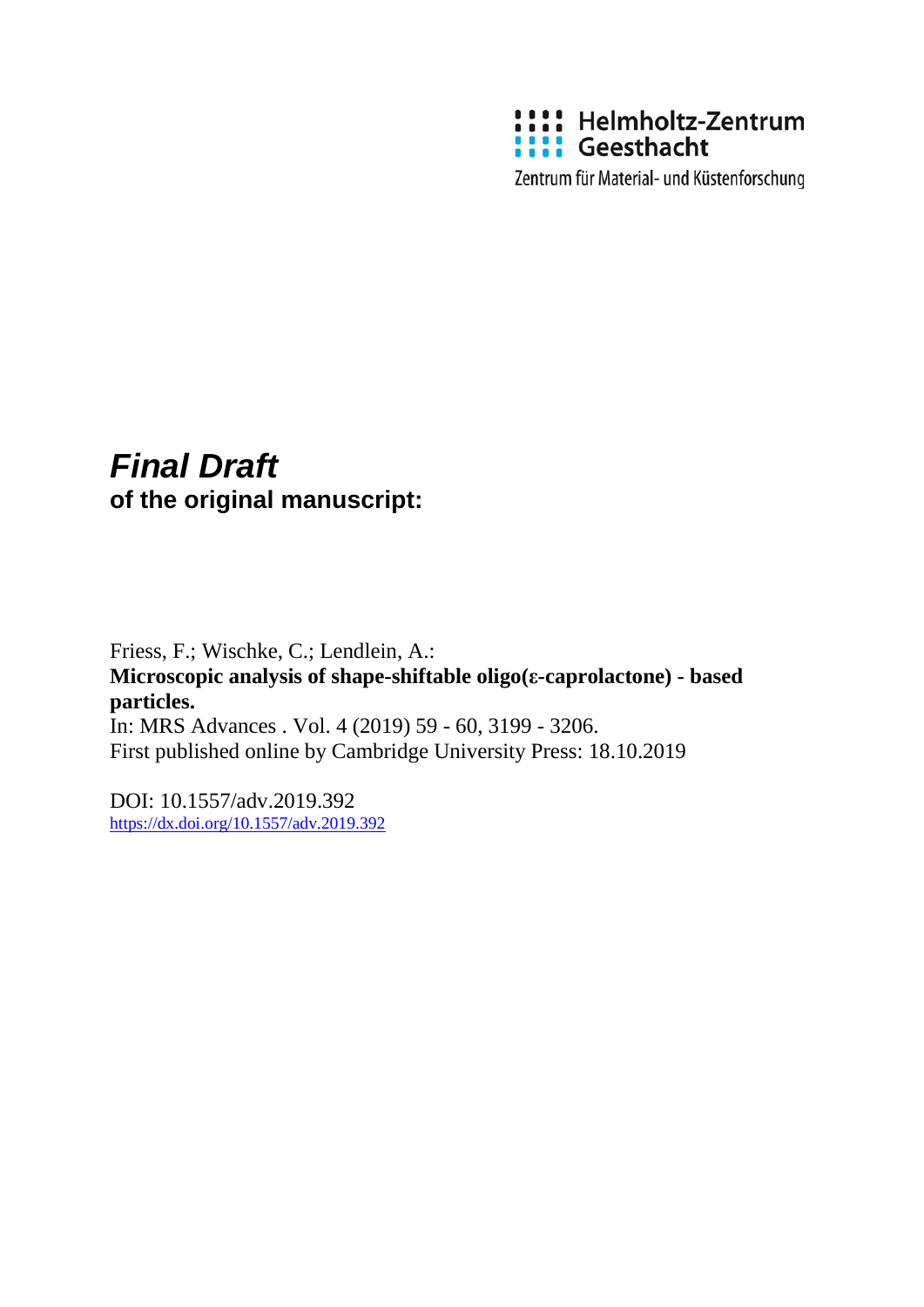

Zentrum für Material- und Küstenforschung

# *Final Draft*  **of the original manuscript:**

Friess, F.; Wischke, C.; Lendlein, A.: **Microscopic analysis of shape-shiftable oligo(ε-caprolactone) - based particles.**  In: MRS Advances . Vol. 4 (2019) 59 - 60, 3199 - 3206. First published online by Cambridge University Press: 18.10.2019

DOI: 10.1557/adv.2019.392 <https://dx.doi.org/10.1557/adv.2019.392>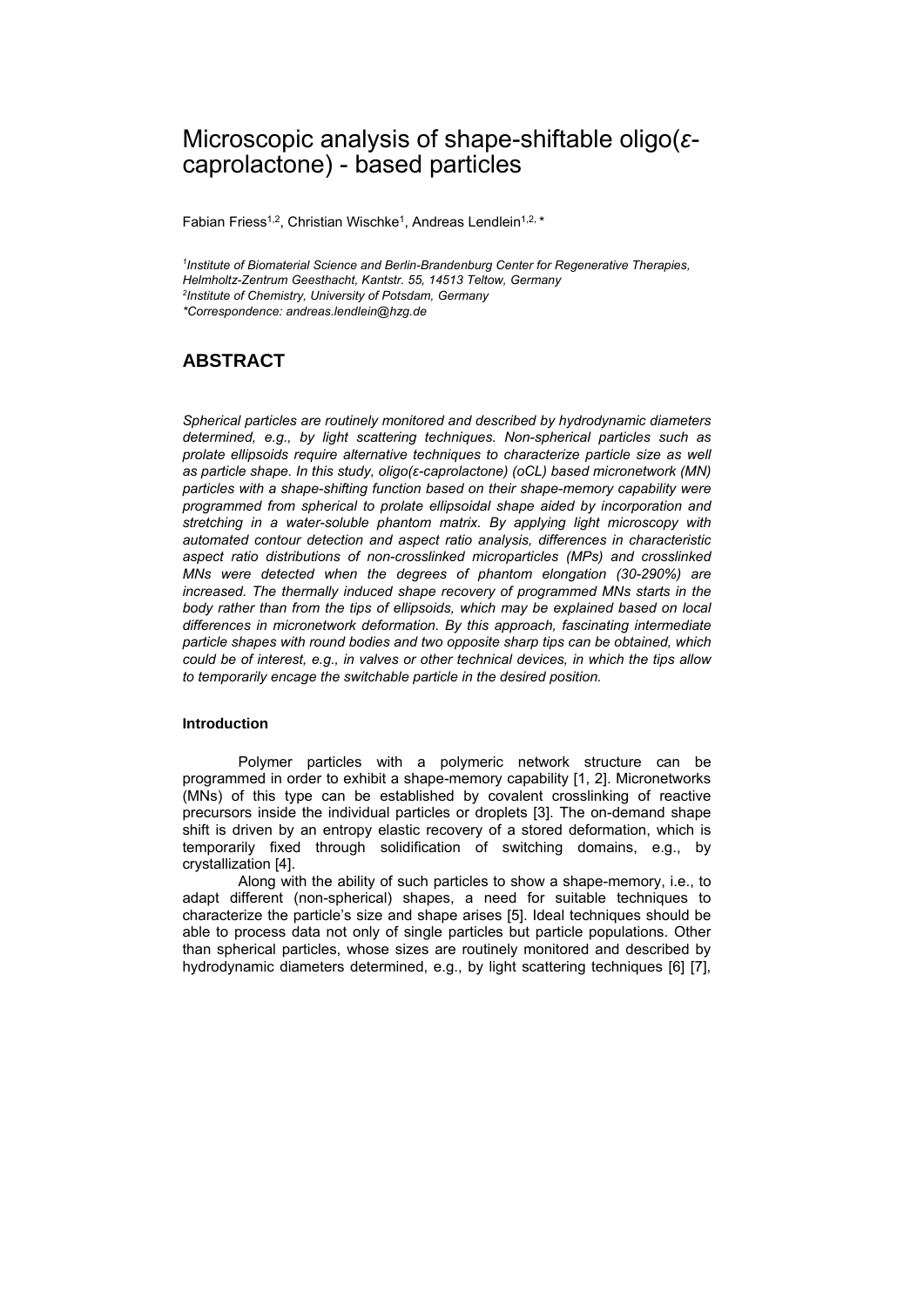# Microscopic analysis of shape-shiftable oligo(*ε*caprolactone) - based particles

Fabian Friess<sup>1,2</sup>, Christian Wischke<sup>1</sup>, Andreas Lendlein<sup>1,2, \*</sup>

*1 Institute of Biomaterial Science and Berlin-Brandenburg Center for Regenerative Therapies, Helmholtz-Zentrum Geesthacht, Kantstr. 55, 14513 Teltow, Germany 2 Institute of Chemistry, University of Potsdam, Germany \*Correspondence: andreas.lendlein@hzg.de* 

# **ABSTRACT**

*Spherical particles are routinely monitored and described by hydrodynamic diameters determined, e.g., by light scattering techniques. Non-spherical particles such as prolate ellipsoids require alternative techniques to characterize particle size as well as particle shape. In this study, oligo(ε-caprolactone) (oCL) based micronetwork (MN) particles with a shape-shifting function based on their shape-memory capability were programmed from spherical to prolate ellipsoidal shape aided by incorporation and stretching in a water-soluble phantom matrix. By applying light microscopy with automated contour detection and aspect ratio analysis, differences in characteristic aspect ratio distributions of non-crosslinked microparticles (MPs) and crosslinked MNs were detected when the degrees of phantom elongation (30-290%) are increased. The thermally induced shape recovery of programmed MNs starts in the body rather than from the tips of ellipsoids, which may be explained based on local differences in micronetwork deformation. By this approach, fascinating intermediate particle shapes with round bodies and two opposite sharp tips can be obtained, which could be of interest, e.g., in valves or other technical devices, in which the tips allow to temporarily encage the switchable particle in the desired position.* 

# **Introduction**

Polymer particles with a polymeric network structure can be programmed in order to exhibit a shape-memory capability [1, 2]. Micronetworks (MNs) of this type can be established by covalent crosslinking of reactive precursors inside the individual particles or droplets [3]. The on-demand shape shift is driven by an entropy elastic recovery of a stored deformation, which is temporarily fixed through solidification of switching domains, e.g., by crystallization [4].

Along with the ability of such particles to show a shape-memory, i.e., to adapt different (non-spherical) shapes, a need for suitable techniques to characterize the particle's size and shape arises [5]. Ideal techniques should be able to process data not only of single particles but particle populations. Other than spherical particles, whose sizes are routinely monitored and described by hydrodynamic diameters determined, e.g., by light scattering techniques [6] [7],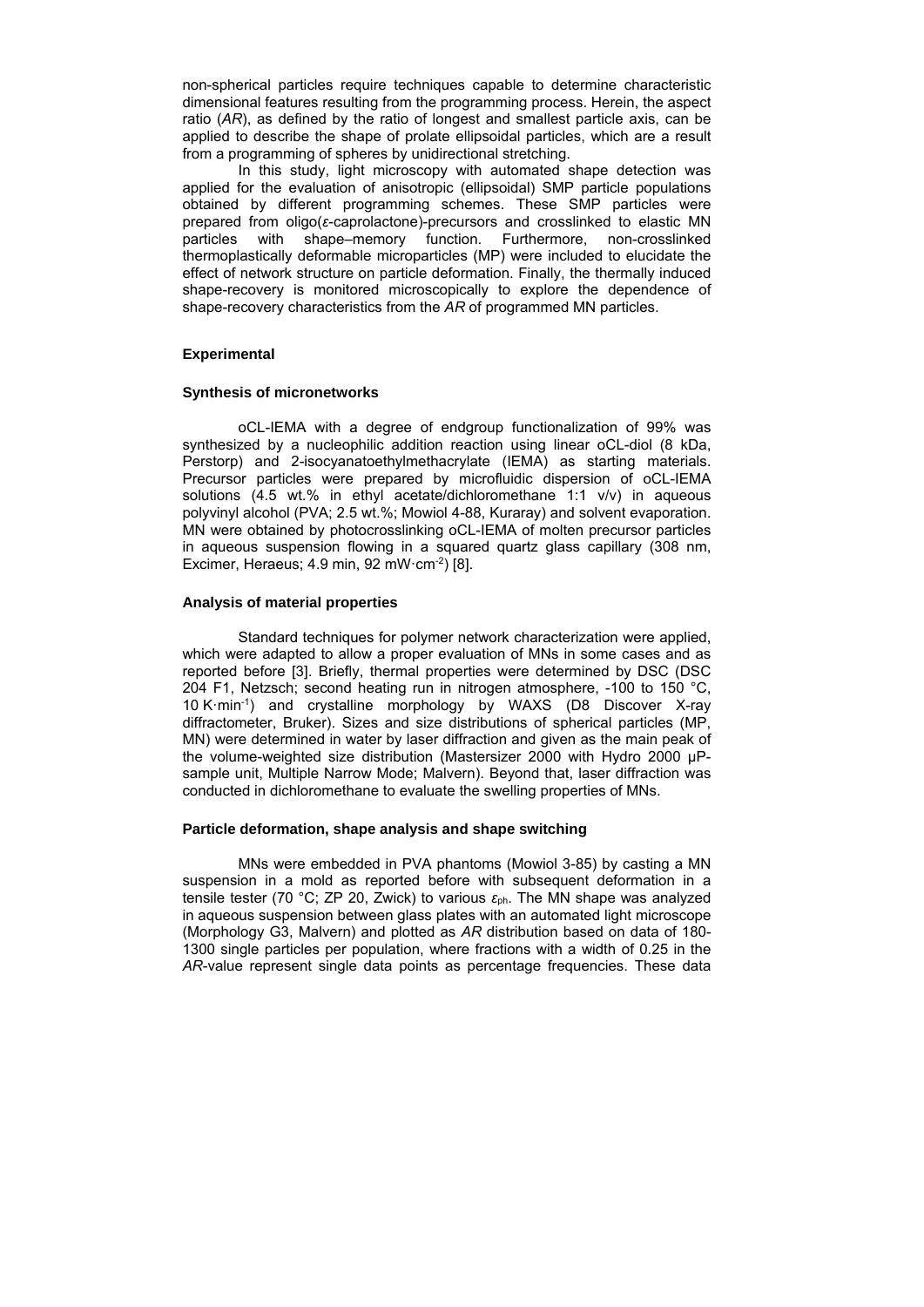non-spherical particles require techniques capable to determine characteristic dimensional features resulting from the programming process. Herein, the aspect ratio (*AR*), as defined by the ratio of longest and smallest particle axis, can be applied to describe the shape of prolate ellipsoidal particles, which are a result from a programming of spheres by unidirectional stretching.

In this study, light microscopy with automated shape detection was applied for the evaluation of anisotropic (ellipsoidal) SMP particle populations obtained by different programming schemes. These SMP particles were prepared from oligo(*ε*-caprolactone)-precursors and crosslinked to elastic MN particles with shape–memory function. Furthermore, non-crosslinked thermoplastically deformable microparticles (MP) were included to elucidate the effect of network structure on particle deformation. Finally, the thermally induced shape-recovery is monitored microscopically to explore the dependence of shape-recovery characteristics from the *AR* of programmed MN particles.

# **Experimental**

#### **Synthesis of micronetworks**

oCL-IEMA with a degree of endgroup functionalization of 99% was synthesized by a nucleophilic addition reaction using linear oCL-diol (8 kDa, Perstorp) and 2-isocyanatoethylmethacrylate (IEMA) as starting materials. Precursor particles were prepared by microfluidic dispersion of oCL-IEMA solutions (4.5 wt.% in ethyl acetate/dichloromethane 1:1 v/v) in aqueous polyvinyl alcohol (PVA; 2.5 wt.%; Mowiol 4-88, Kuraray) and solvent evaporation. MN were obtained by photocrosslinking oCL-IEMA of molten precursor particles in aqueous suspension flowing in a squared quartz glass capillary (308 nm, Excimer, Heraeus;  $4.9$  min,  $92$  mW $\cdot$ cm<sup>-2</sup>) [8].

# **Analysis of material properties**

Standard techniques for polymer network characterization were applied, which were adapted to allow a proper evaluation of MNs in some cases and as reported before [3]. Briefly, thermal properties were determined by DSC (DSC 204 F1, Netzsch; second heating run in nitrogen atmosphere, -100 to 150 °C, 10 Kꞏmin-1) and crystalline morphology by WAXS (D8 Discover X-ray diffractometer, Bruker). Sizes and size distributions of spherical particles (MP, MN) were determined in water by laser diffraction and given as the main peak of the volume-weighted size distribution (Mastersizer 2000 with Hydro 2000 µPsample unit, Multiple Narrow Mode; Malvern). Beyond that, laser diffraction was conducted in dichloromethane to evaluate the swelling properties of MNs.

## **Particle deformation, shape analysis and shape switching**

MNs were embedded in PVA phantoms (Mowiol 3-85) by casting a MN suspension in a mold as reported before with subsequent deformation in a tensile tester (70 °C; ZP 20, Zwick) to various *ɛ*ph. The MN shape was analyzed in aqueous suspension between glass plates with an automated light microscope (Morphology G3, Malvern) and plotted as *AR* distribution based on data of 180- 1300 single particles per population, where fractions with a width of 0.25 in the *AR*-value represent single data points as percentage frequencies. These data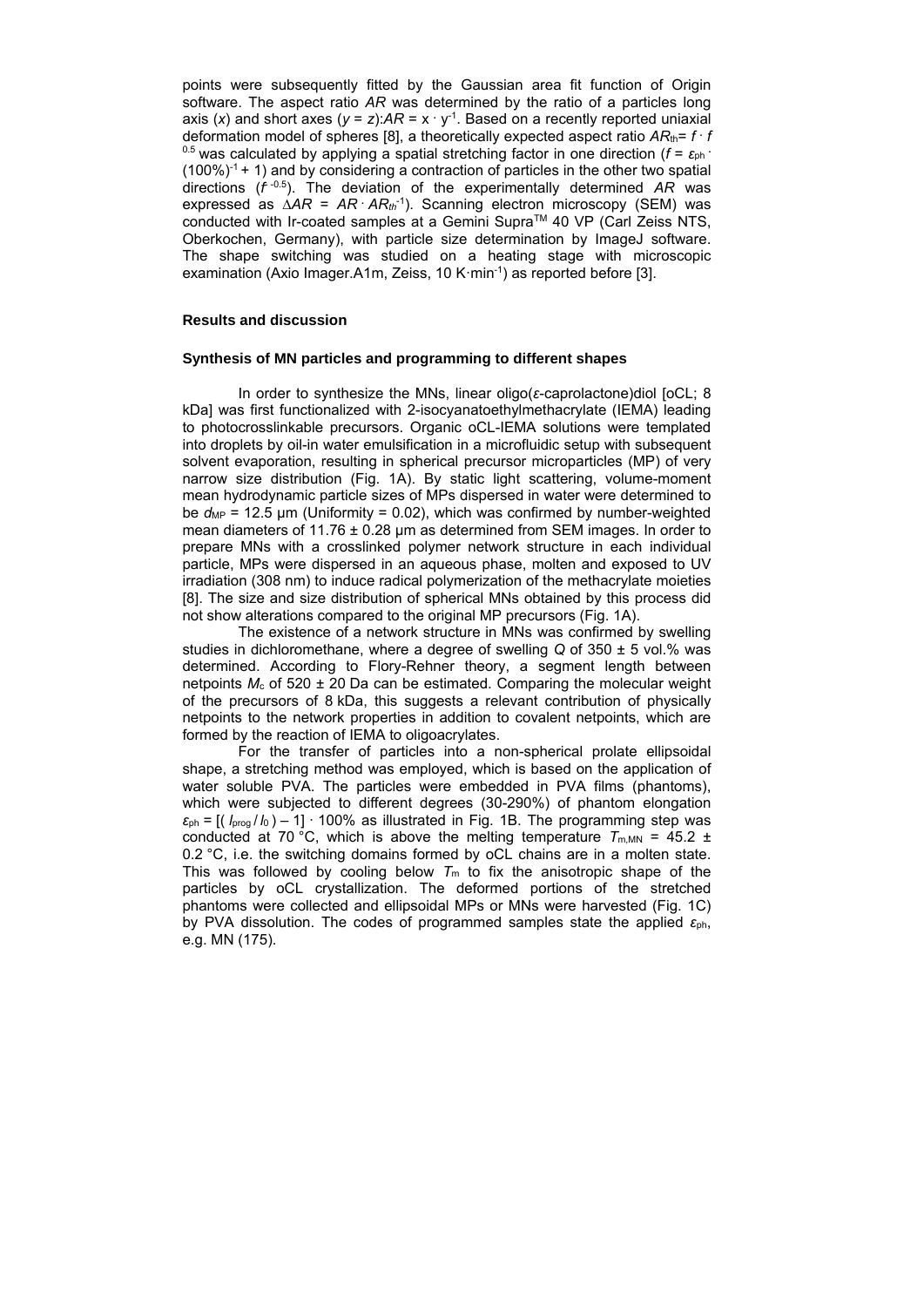points were subsequently fitted by the Gaussian area fit function of Origin software. The aspect ratio *AR* was determined by the ratio of a particles long axis (x) and short axes ( $y = z$ ): $AR = x \cdot y^{-1}$ . Based on a recently reported uniaxial deformation model of spheres [8], a theoretically expected aspect ratio *AR*th= *f* **.** *f* <sup>0.5</sup> was calculated by applying a spatial stretching factor in one direction (*f* = ε<sub>ph</sub> ·  $(100\%)<sup>1</sup> + 1$ ) and by considering a contraction of particles in the other two spatial directions (*f*<sup>-0.5</sup>). The deviation of the experimentally determined AR was expressed as ∆*AR* = *AR* **.** *ARth*-1). Scanning electron microscopy (SEM) was conducted with Ir-coated samples at a Gemini Supra™ 40 VP (Carl Zeiss NTS, Oberkochen, Germany), with particle size determination by ImageJ software. The shape switching was studied on a heating stage with microscopic examination (Axio Imager.A1m, Zeiss, 10 K·min<sup>-1</sup>) as reported before [3].

# **Results and discussion**

#### **Synthesis of MN particles and programming to different shapes**

In order to synthesize the MNs, linear oligo(*ɛ*-caprolactone)diol [oCL; 8 kDa] was first functionalized with 2-isocyanatoethylmethacrylate (IEMA) leading to photocrosslinkable precursors. Organic oCL-IEMA solutions were templated into droplets by oil-in water emulsification in a microfluidic setup with subsequent solvent evaporation, resulting in spherical precursor microparticles (MP) of very narrow size distribution (Fig. 1A). By static light scattering, volume-moment mean hydrodynamic particle sizes of MPs dispersed in water were determined to be  $d_{MP}$  = 12.5 µm (Uniformity = 0.02), which was confirmed by number-weighted mean diameters of 11.76 ± 0.28 µm as determined from SEM images. In order to prepare MNs with a crosslinked polymer network structure in each individual particle, MPs were dispersed in an aqueous phase, molten and exposed to UV irradiation (308 nm) to induce radical polymerization of the methacrylate moieties [8]. The size and size distribution of spherical MNs obtained by this process did not show alterations compared to the original MP precursors (Fig. 1A).

The existence of a network structure in MNs was confirmed by swelling studies in dichloromethane, where a degree of swelling *Q* of 350 ± 5 vol.% was determined. According to Flory-Rehner theory, a segment length between netpoints *M*c of 520 ± 20 Da can be estimated. Comparing the molecular weight of the precursors of 8 kDa, this suggests a relevant contribution of physically netpoints to the network properties in addition to covalent netpoints, which are formed by the reaction of IEMA to oligoacrylates.

For the transfer of particles into a non-spherical prolate ellipsoidal shape, a stretching method was employed, which is based on the application of water soluble PVA. The particles were embedded in PVA films (phantoms), which were subjected to different degrees (30-290%) of phantom elongation  $\varepsilon_{\text{ph}} = \left[ \left( \frac{I_{\text{prog}}}{I_0} \right) - 1 \right]$  100% as illustrated in Fig. 1B. The programming step was conducted at 70 °C, which is above the melting temperature  $T_{m,MN} = 45.2 \pm 10^{-10}$ 0.2 °C, i.e. the switching domains formed by oCL chains are in a molten state. This was followed by cooling below  $T_m$  to fix the anisotropic shape of the particles by oCL crystallization. The deformed portions of the stretched phantoms were collected and ellipsoidal MPs or MNs were harvested (Fig. 1C) by PVA dissolution. The codes of programmed samples state the applied *ε*ph, e.g. MN (175).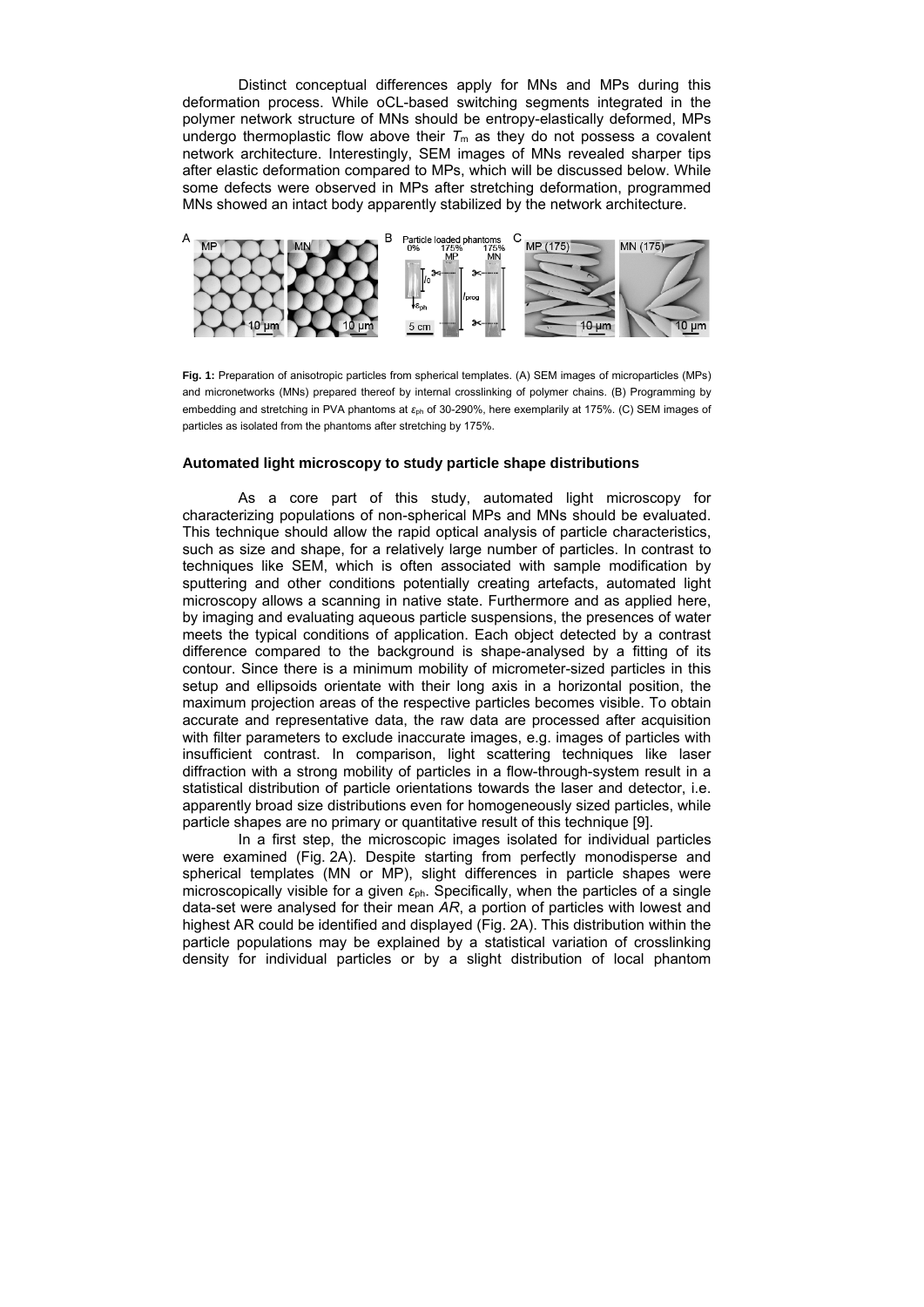Distinct conceptual differences apply for MNs and MPs during this deformation process. While oCL-based switching segments integrated in the polymer network structure of MNs should be entropy-elastically deformed, MPs undergo thermoplastic flow above their  $T_m$  as they do not possess a covalent network architecture. Interestingly, SEM images of MNs revealed sharper tips after elastic deformation compared to MPs, which will be discussed below. While some defects were observed in MPs after stretching deformation, programmed MNs showed an intact body apparently stabilized by the network architecture.



**Fig. 1:** Preparation of anisotropic particles from spherical templates. (A) SEM images of microparticles (MPs) and micronetworks (MNs) prepared thereof by internal crosslinking of polymer chains. (B) Programming by embedding and stretching in PVA phantoms at *ɛ*ph of 30-290%, here exemplarily at 175%. (C) SEM images of particles as isolated from the phantoms after stretching by 175%.

#### **Automated light microscopy to study particle shape distributions**

As a core part of this study, automated light microscopy for characterizing populations of non-spherical MPs and MNs should be evaluated. This technique should allow the rapid optical analysis of particle characteristics, such as size and shape, for a relatively large number of particles. In contrast to techniques like SEM, which is often associated with sample modification by sputtering and other conditions potentially creating artefacts, automated light microscopy allows a scanning in native state. Furthermore and as applied here, by imaging and evaluating aqueous particle suspensions, the presences of water meets the typical conditions of application. Each object detected by a contrast difference compared to the background is shape-analysed by a fitting of its contour. Since there is a minimum mobility of micrometer-sized particles in this setup and ellipsoids orientate with their long axis in a horizontal position, the maximum projection areas of the respective particles becomes visible. To obtain accurate and representative data, the raw data are processed after acquisition with filter parameters to exclude inaccurate images, e.g. images of particles with insufficient contrast. In comparison, light scattering techniques like laser diffraction with a strong mobility of particles in a flow-through-system result in a statistical distribution of particle orientations towards the laser and detector, i.e. apparently broad size distributions even for homogeneously sized particles, while particle shapes are no primary or quantitative result of this technique [9].

In a first step, the microscopic images isolated for individual particles were examined (Fig. 2A). Despite starting from perfectly monodisperse and spherical templates (MN or MP), slight differences in particle shapes were microscopically visible for a given *ε*ph. Specifically, when the particles of a single data-set were analysed for their mean *AR*, a portion of particles with lowest and highest AR could be identified and displayed (Fig. 2A). This distribution within the particle populations may be explained by a statistical variation of crosslinking density for individual particles or by a slight distribution of local phantom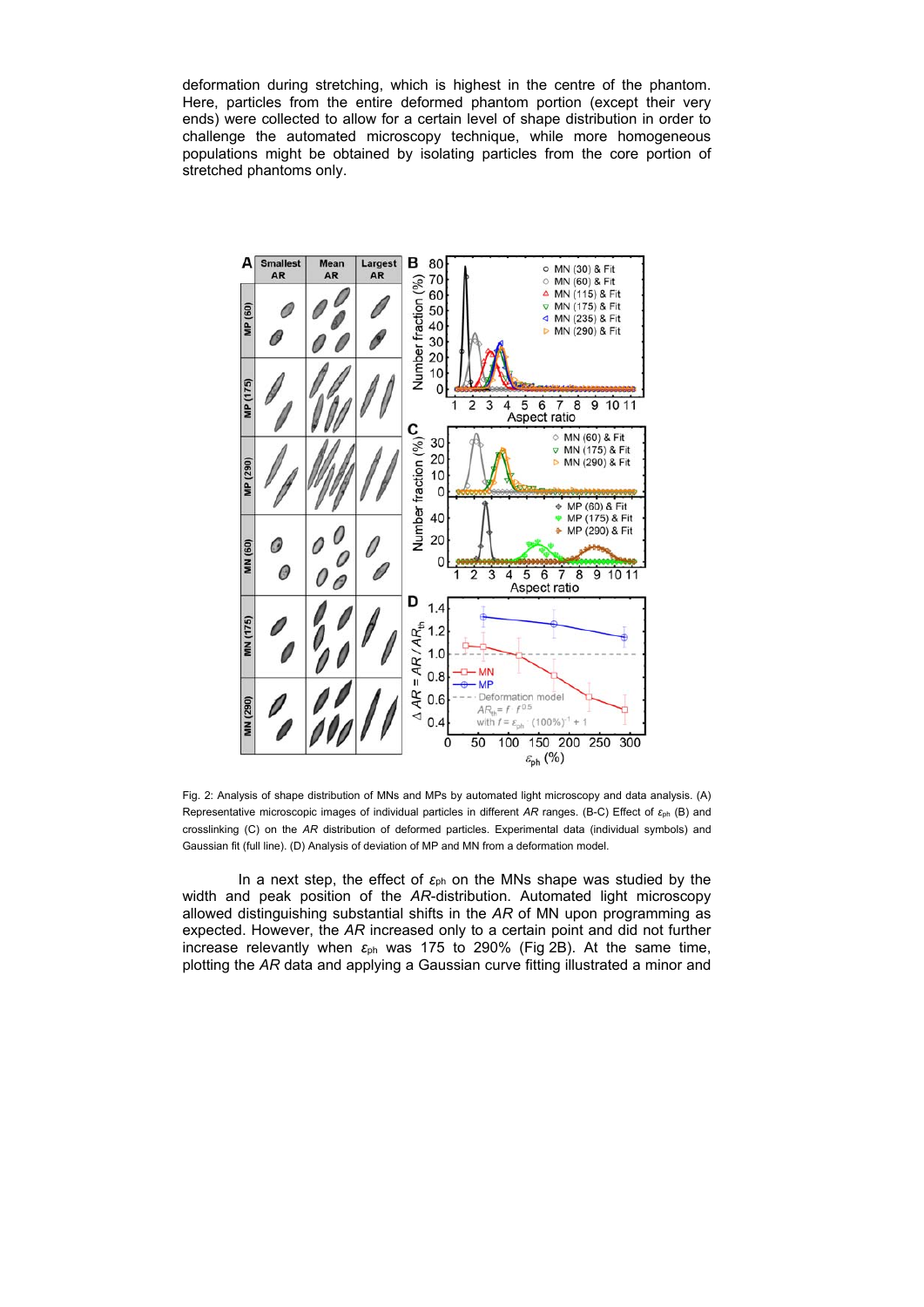deformation during stretching, which is highest in the centre of the phantom. Here, particles from the entire deformed phantom portion (except their very ends) were collected to allow for a certain level of shape distribution in order to challenge the automated microscopy technique, while more homogeneous populations might be obtained by isolating particles from the core portion of stretched phantoms only.



Fig. 2: Analysis of shape distribution of MNs and MPs by automated light microscopy and data analysis. (A) Representative microscopic images of individual particles in different *AR* ranges. (B-C) Effect of *ɛ*ph (B) and crosslinking (C) on the *AR* distribution of deformed particles. Experimental data (individual symbols) and Gaussian fit (full line). (D) Analysis of deviation of MP and MN from a deformation model.

In a next step, the effect of *ε*ph on the MNs shape was studied by the width and peak position of the *AR*-distribution. Automated light microscopy allowed distinguishing substantial shifts in the *AR* of MN upon programming as expected. However, the *AR* increased only to a certain point and did not further increase relevantly when *ε*ph was 175 to 290% (Fig 2B). At the same time, plotting the *AR* data and applying a Gaussian curve fitting illustrated a minor and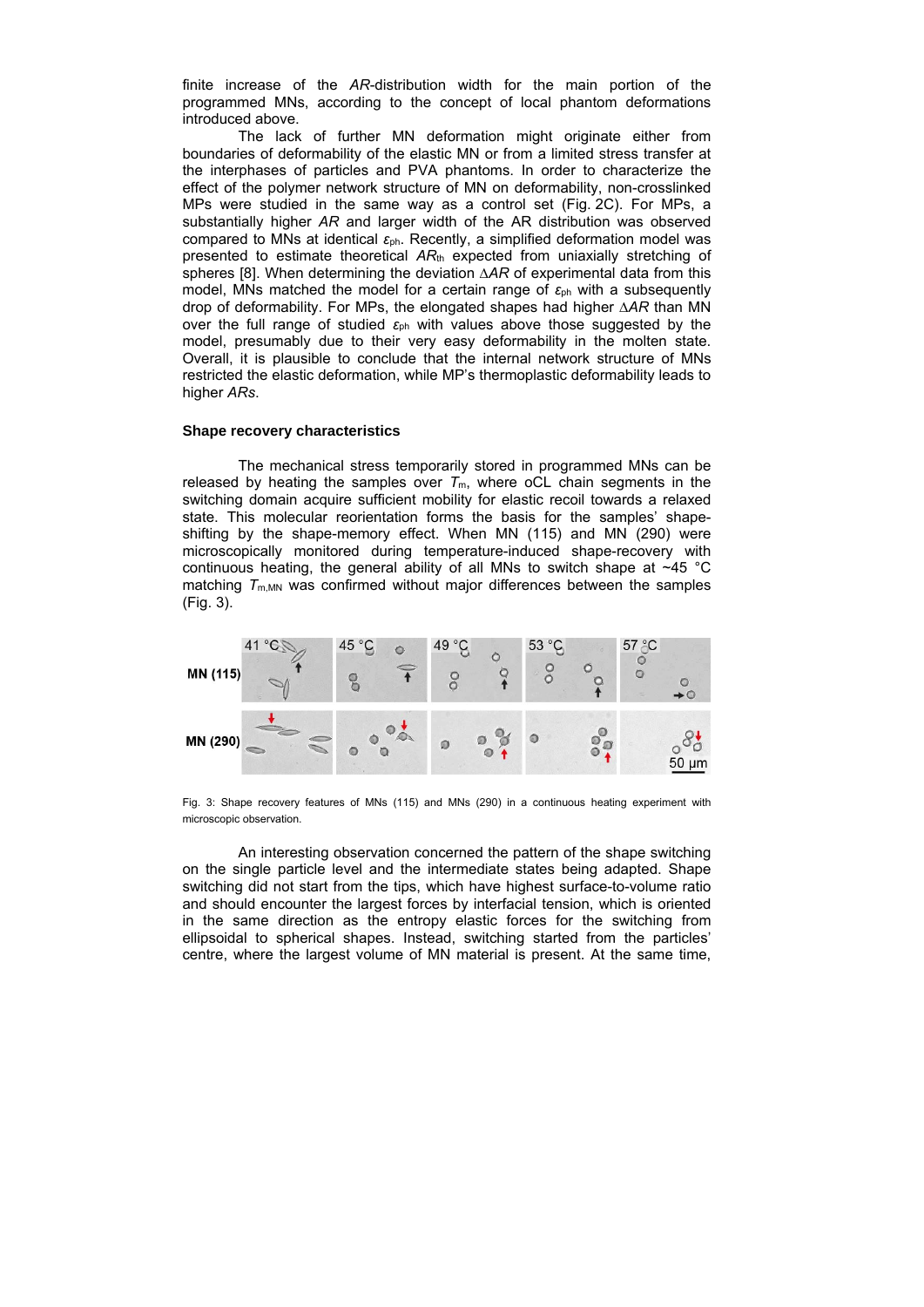finite increase of the *AR*-distribution width for the main portion of the programmed MNs, according to the concept of local phantom deformations introduced above.

The lack of further MN deformation might originate either from boundaries of deformability of the elastic MN or from a limited stress transfer at the interphases of particles and PVA phantoms. In order to characterize the effect of the polymer network structure of MN on deformability, non-crosslinked MPs were studied in the same way as a control set (Fig. 2C). For MPs, a substantially higher *AR* and larger width of the AR distribution was observed compared to MNs at identical *ε*ph. Recently, a simplified deformation model was presented to estimate theoretical *AR*th expected from uniaxially stretching of spheres [8]. When determining the deviation ∆AR of experimental data from this model, MNs matched the model for a certain range of *ε*ph with a subsequently drop of deformability. For MPs, the elongated shapes had higher ∆*AR* than MN over the full range of studied *ε*ph with values above those suggested by the model, presumably due to their very easy deformability in the molten state. Overall, it is plausible to conclude that the internal network structure of MNs restricted the elastic deformation, while MP's thermoplastic deformability leads to higher *ARs*.

### **Shape recovery characteristics**

The mechanical stress temporarily stored in programmed MNs can be released by heating the samples over  $T_m$ , where oCL chain segments in the switching domain acquire sufficient mobility for elastic recoil towards a relaxed state. This molecular reorientation forms the basis for the samples' shapeshifting by the shape-memory effect. When MN (115) and MN (290) were microscopically monitored during temperature-induced shape-recovery with continuous heating, the general ability of all MNs to switch shape at ~45 °C matching  $T_{\text{m,MN}}$  was confirmed without major differences between the samples (Fig. 3).



Fig. 3: Shape recovery features of MNs (115) and MNs (290) in a continuous heating experiment with microscopic observation.

An interesting observation concerned the pattern of the shape switching on the single particle level and the intermediate states being adapted. Shape switching did not start from the tips, which have highest surface-to-volume ratio and should encounter the largest forces by interfacial tension, which is oriented in the same direction as the entropy elastic forces for the switching from ellipsoidal to spherical shapes. Instead, switching started from the particles' centre, where the largest volume of MN material is present. At the same time,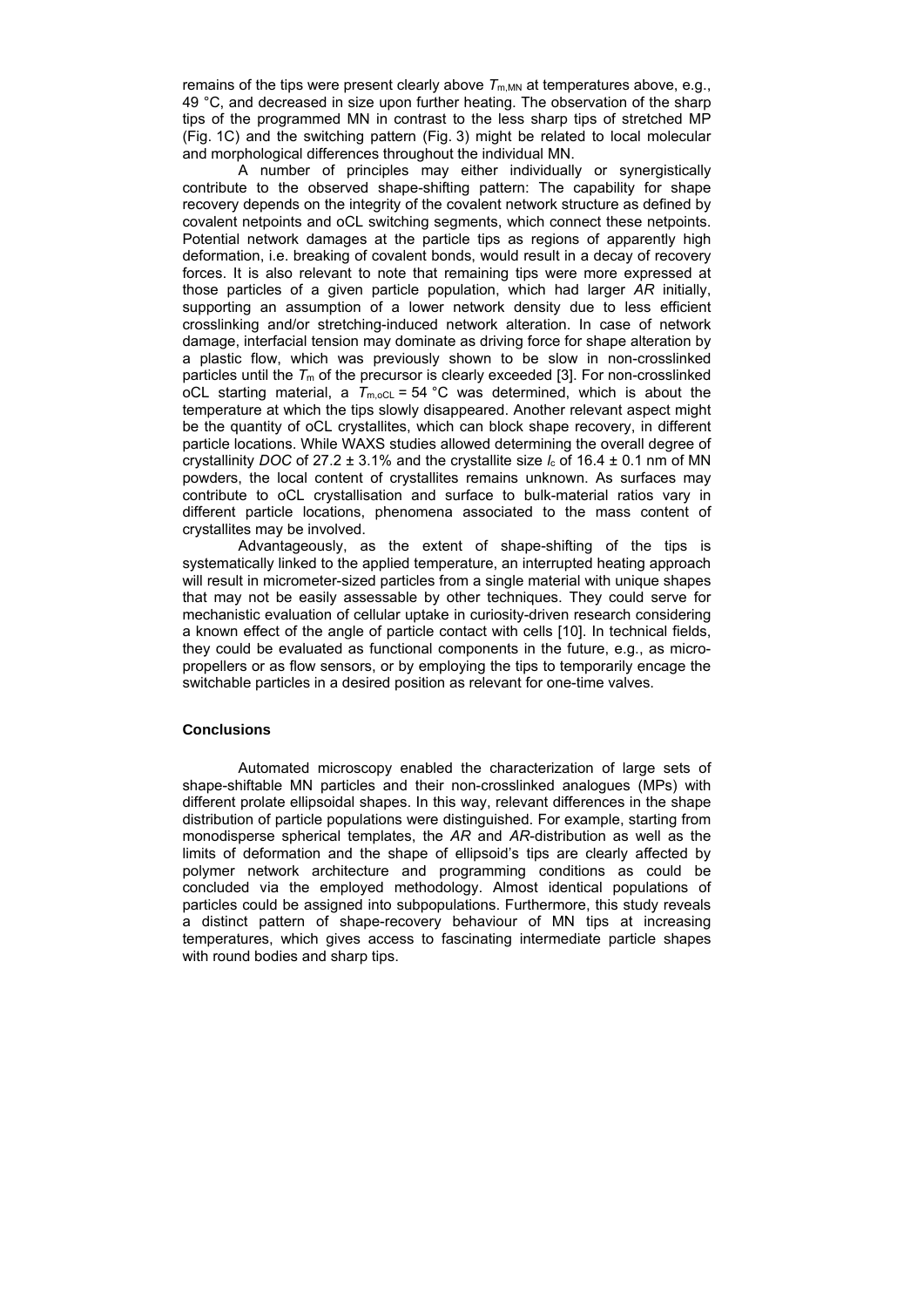remains of the tips were present clearly above  $T_{\text{m,MN}}$  at temperatures above, e.g., 49 °C, and decreased in size upon further heating. The observation of the sharp tips of the programmed MN in contrast to the less sharp tips of stretched MP (Fig. 1C) and the switching pattern (Fig. 3) might be related to local molecular and morphological differences throughout the individual MN.

A number of principles may either individually or synergistically contribute to the observed shape-shifting pattern: The capability for shape recovery depends on the integrity of the covalent network structure as defined by covalent netpoints and oCL switching segments, which connect these netpoints. Potential network damages at the particle tips as regions of apparently high deformation, i.e. breaking of covalent bonds, would result in a decay of recovery forces. It is also relevant to note that remaining tips were more expressed at those particles of a given particle population, which had larger *AR* initially, supporting an assumption of a lower network density due to less efficient crosslinking and/or stretching-induced network alteration. In case of network damage, interfacial tension may dominate as driving force for shape alteration by a plastic flow, which was previously shown to be slow in non-crosslinked particles until the  $T_m$  of the precursor is clearly exceeded [3]. For non-crosslinked oCL starting material, a  $T_{\text{m,oCL}} = 54 \text{ °C}$  was determined, which is about the temperature at which the tips slowly disappeared. Another relevant aspect might be the quantity of oCL crystallites, which can block shape recovery, in different particle locations. While WAXS studies allowed determining the overall degree of crystallinity *DOC* of 27.2 ± 3.1% and the crystallite size *l*c of 16.4 ± 0.1 nm of MN powders, the local content of crystallites remains unknown. As surfaces may contribute to oCL crystallisation and surface to bulk-material ratios vary in different particle locations, phenomena associated to the mass content of crystallites may be involved.

Advantageously, as the extent of shape-shifting of the tips is systematically linked to the applied temperature, an interrupted heating approach will result in micrometer-sized particles from a single material with unique shapes that may not be easily assessable by other techniques. They could serve for mechanistic evaluation of cellular uptake in curiosity-driven research considering a known effect of the angle of particle contact with cells [10]. In technical fields, they could be evaluated as functional components in the future, e.g., as micropropellers or as flow sensors, or by employing the tips to temporarily encage the switchable particles in a desired position as relevant for one-time valves.

# **Conclusions**

Automated microscopy enabled the characterization of large sets of shape-shiftable MN particles and their non-crosslinked analogues (MPs) with different prolate ellipsoidal shapes. In this way, relevant differences in the shape distribution of particle populations were distinguished. For example, starting from monodisperse spherical templates, the *AR* and *AR*-distribution as well as the limits of deformation and the shape of ellipsoid's tips are clearly affected by polymer network architecture and programming conditions as could be concluded via the employed methodology. Almost identical populations of particles could be assigned into subpopulations. Furthermore, this study reveals a distinct pattern of shape-recovery behaviour of MN tips at increasing temperatures, which gives access to fascinating intermediate particle shapes with round bodies and sharp tips.